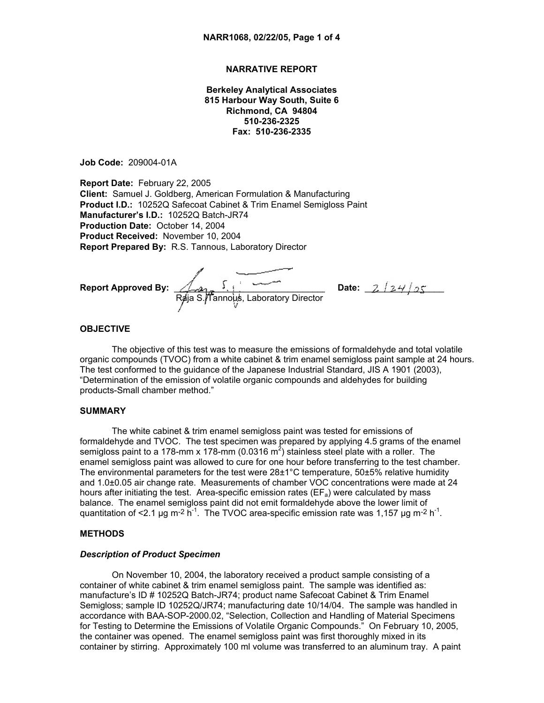## **NARRATIVE REPORT**

**Berkeley Analytical Associates 815 Harbour Way South, Suite 6 Richmond, CA 94804 510-236-2325 Fax: 510-236-2335**

**Job Code:** 209004-01A

**Report Date:** February 22, 2005 **Client:** Samuel J. Goldberg, American Formulation & Manufacturing **Product I.D.:** 10252Q Safecoat Cabinet & Trim Enamel Semigloss Paint **Manufacturer's I.D.:** 10252Q Batch-JR74 **Production Date:** October 14, 2004 **Product Received:** November 10, 2004 **Report Prepared By:** R.S. Tannous, Laboratory Director

**Report Approved By:** \_\_\_\_\_\_\_\_\_\_\_\_\_\_\_\_\_\_\_\_\_\_\_\_\_\_\_\_\_\_\_\_\_**Date:** \_\_\_\_\_\_\_\_\_\_\_\_\_\_\_\_ Raja S./Tannous, Laboratory Director

### **OBJECTIVE**

The objective of this test was to measure the emissions of formaldehyde and total volatile organic compounds (TVOC) from a white cabinet & trim enamel semigloss paint sample at 24 hours. The test conformed to the guidance of the Japanese Industrial Standard, JIS A 1901 (2003), "Determination of the emission of volatile organic compounds and aldehydes for building products-Small chamber method."

## **SUMMARY**

The white cabinet & trim enamel semigloss paint was tested for emissions of formaldehyde and TVOC. The test specimen was prepared by applying 4.5 grams of the enamel semigloss paint to a 178-mm x 178-mm (0.0316 m<sup>2</sup>) stainless steel plate with a roller. The enamel semigloss paint was allowed to cure for one hour before transferring to the test chamber. The environmental parameters for the test were  $28\pm1^{\circ}$ C temperature, 50 $\pm5\%$  relative humidity and 1.0±0.05 air change rate. Measurements of chamber VOC concentrations were made at 24 hours after initiating the test. Area-specific emission rates ( $EF_a$ ) were calculated by mass balance. The enamel semigloss paint did not emit formaldehyde above the lower limit of quantitation of <2.1 µg m<sup>-2</sup> h<sup>-1</sup>. The TVOC area-specific emission rate was 1,157 µg m<sup>-2</sup> h<sup>-1</sup>.

### **METHODS**

#### *Description of Product Specimen*

On November 10, 2004, the laboratory received a product sample consisting of a container of white cabinet & trim enamel semigloss paint. The sample was identified as: manufacture's ID # 10252Q Batch-JR74; product name Safecoat Cabinet & Trim Enamel Semigloss; sample ID 10252Q/JR74; manufacturing date 10/14/04. The sample was handled in accordance with BAA-SOP-2000.02, "Selection, Collection and Handling of Material Specimens for Testing to Determine the Emissions of Volatile Organic Compounds." On February 10, 2005, the container was opened. The enamel semigloss paint was first thoroughly mixed in its container by stirring. Approximately 100 ml volume was transferred to an aluminum tray. A paint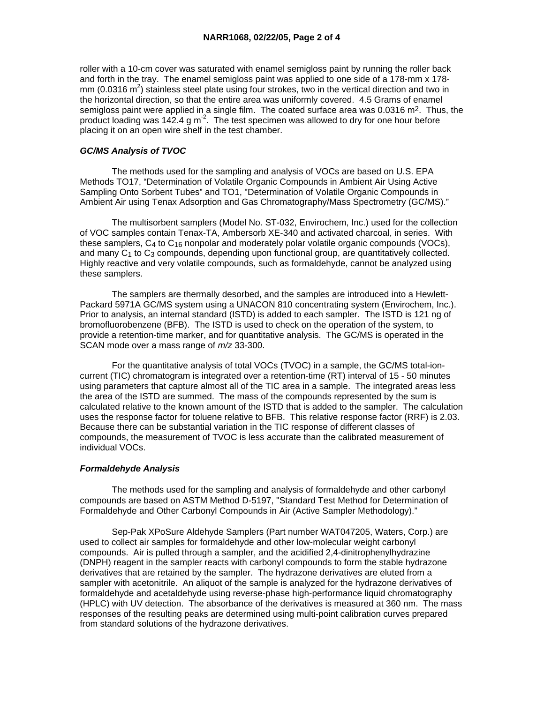roller with a 10-cm cover was saturated with enamel semigloss paint by running the roller back and forth in the tray. The enamel semigloss paint was applied to one side of a 178-mm x 178 mm (0.0316 m<sup>2</sup>) stainless steel plate using four strokes, two in the vertical direction and two in the horizontal direction, so that the entire area was uniformly covered. 4.5 Grams of enamel semigloss paint were applied in a single film. The coated surface area was 0.0316 m<sup>2</sup>. Thus, the product loading was 142.4 g  $\text{m}^2$ . The test specimen was allowed to dry for one hour before placing it on an open wire shelf in the test chamber.

### *GC/MS Analysis of TVOC*

 The methods used for the sampling and analysis of VOCs are based on U.S. EPA Methods TO17, "Determination of Volatile Organic Compounds in Ambient Air Using Active Sampling Onto Sorbent Tubes" and TO1, "Determination of Volatile Organic Compounds in Ambient Air using Tenax Adsorption and Gas Chromatography/Mass Spectrometry (GC/MS)."

 The multisorbent samplers (Model No. ST-032, Envirochem, Inc.) used for the collection of VOC samples contain Tenax-TA, Ambersorb XE-340 and activated charcoal, in series. With these samplers,  $C_4$  to  $C_{16}$  nonpolar and moderately polar volatile organic compounds (VOCs), and many  $C_1$  to  $C_3$  compounds, depending upon functional group, are quantitatively collected. Highly reactive and very volatile compounds, such as formaldehyde, cannot be analyzed using these samplers.

 The samplers are thermally desorbed, and the samples are introduced into a Hewlett-Packard 5971A GC/MS system using a UNACON 810 concentrating system (Envirochem, Inc.). Prior to analysis, an internal standard (ISTD) is added to each sampler. The ISTD is 121 ng of bromofluorobenzene (BFB). The ISTD is used to check on the operation of the system, to provide a retention-time marker, and for quantitative analysis. The GC/MS is operated in the SCAN mode over a mass range of *m/z* 33-300.

 For the quantitative analysis of total VOCs (TVOC) in a sample, the GC/MS total-ioncurrent (TIC) chromatogram is integrated over a retention-time (RT) interval of 15 - 50 minutes using parameters that capture almost all of the TIC area in a sample. The integrated areas less the area of the ISTD are summed. The mass of the compounds represented by the sum is calculated relative to the known amount of the ISTD that is added to the sampler. The calculation uses the response factor for toluene relative to BFB. This relative response factor (RRF) is 2.03. Because there can be substantial variation in the TIC response of different classes of compounds, the measurement of TVOC is less accurate than the calibrated measurement of individual VOCs.

### *Formaldehyde Analysis*

 The methods used for the sampling and analysis of formaldehyde and other carbonyl compounds are based on ASTM Method D-5197, "Standard Test Method for Determination of Formaldehyde and Other Carbonyl Compounds in Air (Active Sampler Methodology)."

 Sep-Pak XPoSure Aldehyde Samplers (Part number WAT047205, Waters, Corp.) are used to collect air samples for formaldehyde and other low-molecular weight carbonyl compounds. Air is pulled through a sampler, and the acidified 2,4-dinitrophenylhydrazine (DNPH) reagent in the sampler reacts with carbonyl compounds to form the stable hydrazone derivatives that are retained by the sampler. The hydrazone derivatives are eluted from a sampler with acetonitrile. An aliquot of the sample is analyzed for the hydrazone derivatives of formaldehyde and acetaldehyde using reverse-phase high-performance liquid chromatography (HPLC) with UV detection. The absorbance of the derivatives is measured at 360 nm. The mass responses of the resulting peaks are determined using multi-point calibration curves prepared from standard solutions of the hydrazone derivatives.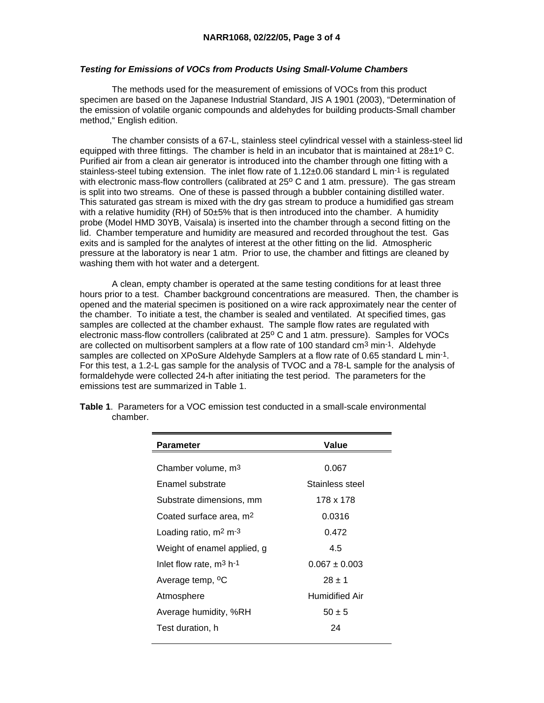# *Testing for Emissions of VOCs from Products Using Small-Volume Chambers*

 The methods used for the measurement of emissions of VOCs from this product specimen are based on the Japanese Industrial Standard, JIS A 1901 (2003), "Determination of the emission of volatile organic compounds and aldehydes for building products-Small chamber method," English edition.

 The chamber consists of a 67-L, stainless steel cylindrical vessel with a stainless-steel lid equipped with three fittings. The chamber is held in an incubator that is maintained at  $28\pm1^{\circ}$  C. Purified air from a clean air generator is introduced into the chamber through one fitting with a stainless-steel tubing extension. The inlet flow rate of 1.12±0.06 standard L min-1 is regulated with electronic mass-flow controllers (calibrated at 25° C and 1 atm. pressure). The gas stream is split into two streams. One of these is passed through a bubbler containing distilled water. This saturated gas stream is mixed with the dry gas stream to produce a humidified gas stream with a relative humidity (RH) of 50±5% that is then introduced into the chamber. A humidity probe (Model HMD 30YB, Vaisala) is inserted into the chamber through a second fitting on the lid. Chamber temperature and humidity are measured and recorded throughout the test. Gas exits and is sampled for the analytes of interest at the other fitting on the lid. Atmospheric pressure at the laboratory is near 1 atm. Prior to use, the chamber and fittings are cleaned by washing them with hot water and a detergent.

 A clean, empty chamber is operated at the same testing conditions for at least three hours prior to a test. Chamber background concentrations are measured. Then, the chamber is opened and the material specimen is positioned on a wire rack approximately near the center of the chamber. To initiate a test, the chamber is sealed and ventilated. At specified times, gas samples are collected at the chamber exhaust. The sample flow rates are regulated with electronic mass-flow controllers (calibrated at 25<sup>o</sup> C and 1 atm, pressure). Samples for VOCs are collected on multisorbent samplers at a flow rate of 100 standard  $cm<sup>3</sup>$  min<sup>-1</sup>. Aldehyde samples are collected on XPoSure Aldehyde Samplers at a flow rate of 0.65 standard L min-1. For this test, a 1.2-L gas sample for the analysis of TVOC and a 78-L sample for the analysis of formaldehyde were collected 24-h after initiating the test period. The parameters for the emissions test are summarized in Table 1.

| <b>Parameter</b>                    | Value             |
|-------------------------------------|-------------------|
|                                     |                   |
| Chamber volume, m <sup>3</sup>      | 0.067             |
| Enamel substrate                    | Stainless steel   |
| Substrate dimensions, mm            | 178 x 178         |
| Coated surface area, m <sup>2</sup> | 0.0316            |
| Loading ratio, $m2 m-3$             | 0.472             |
| Weight of enamel applied, g         | 4.5               |
| Inlet flow rate, $m^3$ h-1          | $0.067 \pm 0.003$ |
| Average temp, <sup>o</sup> C        | $28 \pm 1$        |
| Atmosphere                          | Humidified Air    |
| Average humidity, %RH               | $50 \pm 5$        |
| Test duration, h                    | 24                |

**Table 1**. Parameters for a VOC emission test conducted in a small-scale environmental chamber.